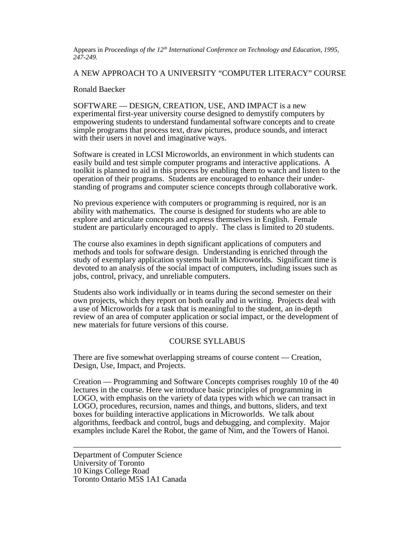Appears in *Proceedings of the 12th International Conference on Technology and Education, 1995, 247-249.*

A NEW APPROACH TO A UNIVERSITY "COMPUTER LITERACY" COURSE

#### Ronald Baecker

SOFTWARE — DESIGN, CREATION, USE, AND IMPACT is a new experimental first-year university course designed to demystify computers by empowering students to understand fundamental software concepts and to create simple programs that process text, draw pictures, produce sounds, and interact with their users in novel and imaginative ways.

Software is created in LCSI Microworlds, an environment in which students can easily build and test simple computer programs and interactive applications. A toolkit is planned to aid in this process by enabling them to watch and listen to the operation of their programs. Students are encouraged to enhance their understanding of programs and computer science concepts through collaborative work.

No previous experience with computers or programming is required, nor is an ability with mathematics. The course is designed for students who are able to explore and articulate concepts and express themselves in English. Female student are particularly encouraged to apply. The class is limited to 20 students.

The course also examines in depth significant applications of computers and methods and tools for software design. Understanding is enriched through the study of exemplary application systems built in Microworlds. Significant time is devoted to an analysis of the social impact of computers, including issues such as jobs, control, privacy, and unreliable computers.

Students also work individually or in teams during the second semester on their own projects, which they report on both orally and in writing. Projects deal with a use of Microworlds for a task that is meaningful to the student, an in-depth review of an area of computer application or social impact, or the development of new materials for future versions of this course.

## COURSE SYLLABUS

There are five somewhat overlapping streams of course content — Creation, Design, Use, Impact, and Projects.

Creation — Programming and Software Concepts comprises roughly 10 of the 40 lectures in the course. Here we introduce basic principles of programming in LOGO, with emphasis on the variety of data types with which we can transact in LOGO, procedures, recursion, names and things, and buttons, sliders, and text boxes for building interactive applications in Microworlds. We talk about algorithms, feedback and control, bugs and debugging, and complexity. Major examples include Karel the Robot, the game of Nim, and the Towers of Hanoi.

—————————————————————————————————

Department of Computer Science University of Toronto 10 Kings College Road Toronto Ontario M5S 1A1 Canada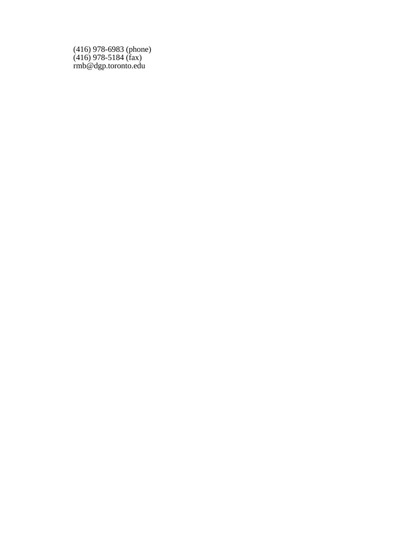(416) 978-6983 (phone) (416) 978-5184 (fax) rmb@dgp.toronto.edu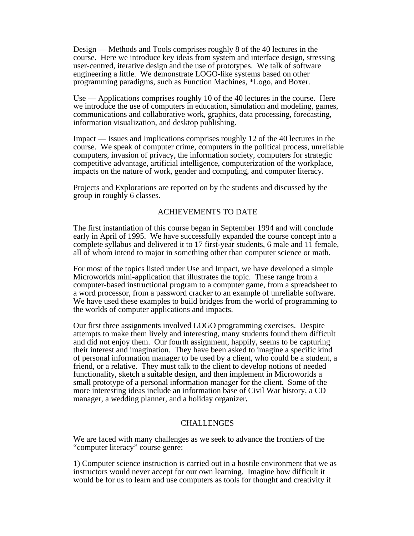Design — Methods and Tools comprises roughly 8 of the 40 lectures in the course. Here we introduce key ideas from system and interface design, stressing user-centred, iterative design and the use of prototypes. We talk of software engineering a little. We demonstrate LOGO-like systems based on other programming paradigms, such as Function Machines, \*Logo, and Boxer.

Use — Applications comprises roughly 10 of the 40 lectures in the course. Here we introduce the use of computers in education, simulation and modeling, games, communications and collaborative work, graphics, data processing, forecasting, information visualization, and desktop publishing.

Impact — Issues and Implications comprises roughly 12 of the 40 lectures in the course. We speak of computer crime, computers in the political process, unreliable computers, invasion of privacy, the information society, computers for strategic competitive advantage, artificial intelligence, computerization of the workplace, impacts on the nature of work, gender and computing, and computer literacy.

Projects and Explorations are reported on by the students and discussed by the group in roughly 6 classes.

# ACHIEVEMENTS TO DATE

The first instantiation of this course began in September 1994 and will conclude early in April of 1995. We have successfully expanded the course concept into a complete syllabus and delivered it to 17 first-year students, 6 male and 11 female, all of whom intend to major in something other than computer science or math.

For most of the topics listed under Use and Impact, we have developed a simple Microworlds mini-application that illustrates the topic. These range from a computer-based instructional program to a computer game, from a spreadsheet to a word processor, from a password cracker to an example of unreliable software. We have used these examples to build bridges from the world of programming to the worlds of computer applications and impacts.

Our first three assignments involved LOGO programming exercises. Despite attempts to make them lively and interesting, many students found them difficult and did not enjoy them. Our fourth assignment, happily, seems to be capturing their interest and imagination. They have been asked to imagine a specific kind of personal information manager to be used by a client, who could be a student, a friend, or a relative. They must talk to the client to develop notions of needed functionality, sketch a suitable design, and then implement in Microworlds a small prototype of a personal information manager for the client. Some of the more interesting ideas include an information base of Civil War history, a CD manager, a wedding planner, and a holiday organizer**.**

## CHALLENGES

We are faced with many challenges as we seek to advance the frontiers of the "computer literacy" course genre:

1) Computer science instruction is carried out in a hostile environment that we as instructors would never accept for our own learning. Imagine how difficult it would be for us to learn and use computers as tools for thought and creativity if